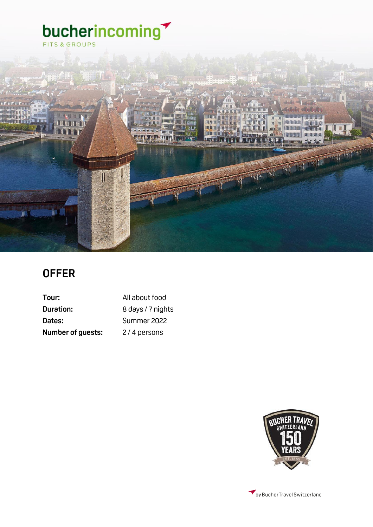

## **OFFER**

| Tour:                    | All about food    |
|--------------------------|-------------------|
| Duration:                | 8 days / 7 nights |
| Dates:                   | Summer 2022       |
| <b>Number of guests:</b> | 2/4 persons       |



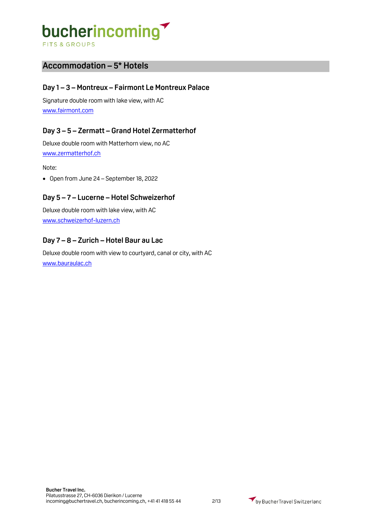### **Accommodation – 5\* Hotels**

#### **Day 1 – 3 – Montreux – Fairmont Le Montreux Palace**

Signature double room with lake view, with AC [www.fairmont.com](http://www.fairmont.com/)

#### **Day 3 – 5 – Zermatt – Grand Hotel Zermatterhof**

Deluxe double room with Matterhorn view, no AC [www.zermatterhof.ch](http://www.zermatterhof.ch/)

#### Note:

• Open from June 24 – September 18, 2022

#### **Day 5 – 7 – Lucerne – Hotel Schweizerhof**

Deluxe double room with lake view, with AC [www.schweizerhof-luzern.ch](http://www.schweizerhof-luzern.ch/)

#### **Day 7 – 8 – Zurich – Hotel Baur au Lac**

Deluxe double room with view to courtyard, canal or city, with AC [www.bauraulac.ch](http://www.bauraulac.ch/)

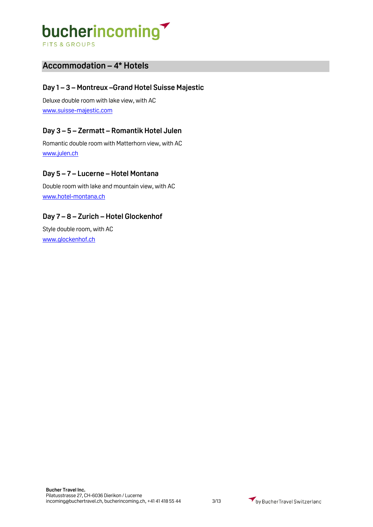### **Accommodation – 4\* Hotels**

#### **Day 1 – 3 – Montreux –Grand Hotel Suisse Majestic**

Deluxe double room with lake view, with AC [www.suisse-majestic.com](http://www.suisse-majestic.com/)

#### **Day 3 – 5 – Zermatt – Romantik Hotel Julen**

Romantic double room with Matterhorn view, with AC [www.julen.ch](http://www.julen.ch/)

#### **Day 5 – 7 – Lucerne – Hotel Montana**

Double room with lake and mountain view, with AC [www.hotel-montana.ch](http://www.hotel-montana.ch/)

#### **Day 7 – 8 – Zurich – Hotel Glockenhof**

Style double room, with AC [www.glockenhof.ch](http://www.glockenhof.ch/)

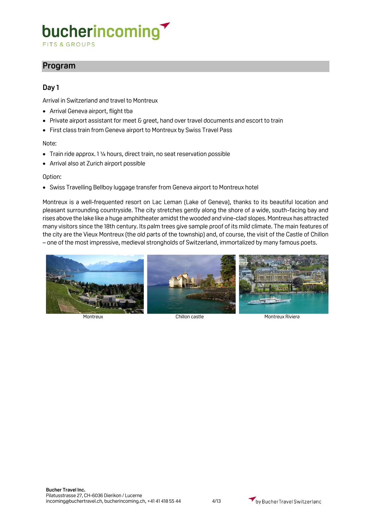**FITS & GROUPS** 

### **Program**

#### **Day 1**

Arrival in Switzerland and travel to Montreux

- Arrival Geneva airport, flight tba
- Private airport assistant for meet & greet, hand over travel documents and escort to train
- First class train from Geneva airport to Montreux by Swiss Travel Pass

#### Note:

- Train ride approx. 1 ¼ hours, direct train, no seat reservation possible
- Arrival also at Zurich airport possible

#### Option:

• Swiss Travelling Bellboy luggage transfer from Geneva airport to Montreux hotel

Montreux is a well-frequented resort on Lac Leman (Lake of Geneva), thanks to its beautiful location and pleasant surrounding countryside. The city stretches gently along the shore of a wide, south-facing bay and rises above the lake like a huge amphitheater amidst the wooded and vine-clad slopes. Montreux has attracted many visitors since the 18th century. Its palm trees give sample proof of its mild climate. The main features of the city are the Vieux Montreux (the old parts of the township) and, of course, the visit of the Castle of Chillon – one of the most impressive, medieval strongholds of Switzerland, immortalized by many famous poets.



Montreux Chillon castle Montreux Riviera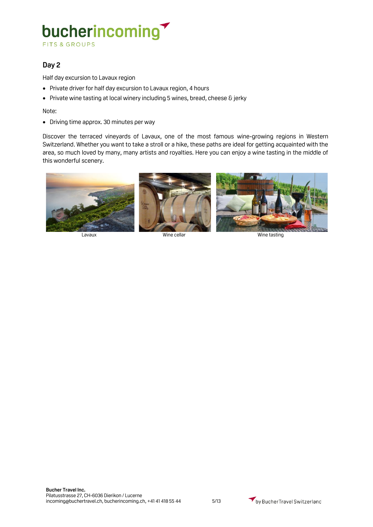**FITS & GROUPS** 

### **Day 2**

Half day excursion to Lavaux region

- Private driver for half day excursion to Lavaux region, 4 hours
- Private wine tasting at local winery including 5 wines, bread, cheese & jerky

#### Note:

• Driving time approx. 30 minutes per way

Discover the terraced vineyards of Lavaux, one of the most famous wine-growing regions in Western Switzerland. Whether you want to take a stroll or a hike, these paths are ideal for getting acquainted with the area, so much loved by many, many artists and royalties. Here you can enjoy a wine tasting in the middle of this wonderful scenery.

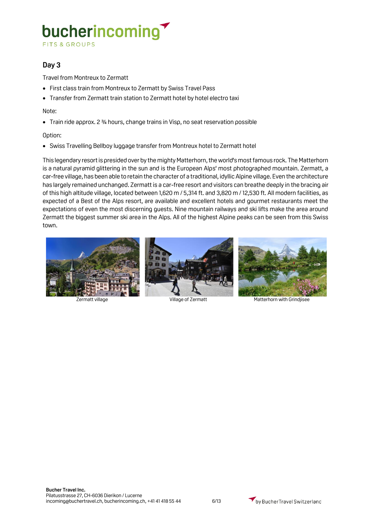**FITS & GROUPS** 

#### **Day 3**

Travel from Montreux to Zermatt

- First class train from Montreux to Zermatt by Swiss Travel Pass
- Transfer from Zermatt train station to Zermatt hotel by hotel electro taxi

#### Note:

• Train ride approx. 2 ¾ hours, change trains in Visp, no seat reservation possible

#### Option:

• Swiss Travelling Bellboy luggage transfer from Montreux hotel to Zermatt hotel

This legendary resort is presided over by the mighty Matterhorn, the world's most famous rock. The Matterhorn is a natural pyramid glittering in the sun and is the European Alps' most photographed mountain. Zermatt, a car-free village, has been able to retain the character of a traditional, idyllic Alpine village. Even the architecture has largely remained unchanged. Zermatt is a car-free resort and visitors can breathe deeply in the bracing air of this high altitude village, located between 1,620 m / 5,314 ft. and 3,820 m / 12,530 ft. All modern facilities, as expected of a Best of the Alps resort, are available and excellent hotels and gourmet restaurants meet the expectations of even the most discerning guests. Nine mountain railways and ski lifts make the area around Zermatt the biggest summer ski area in the Alps. All of the highest Alpine peaks can be seen from this Swiss town.







Zermatt village Village of Zermatt Matterhorn with Grindjisee

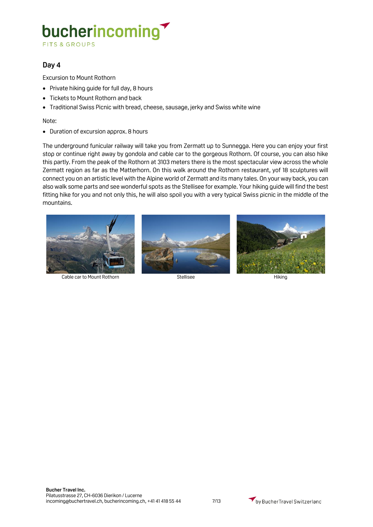FITS & GROUPS

#### **Day 4**

Excursion to Mount Rothorn

- Private hiking guide for full day, 8 hours
- Tickets to Mount Rothorn and back
- Traditional Swiss Picnic with bread, cheese, sausage, jerky and Swiss white wine

Note:

• Duration of excursion approx. 8 hours

The underground funicular railway will take you from Zermatt up to Sunnegga. Here you can enjoy your first stop or continue right away by gondola and cable car to the gorgeous Rothorn. Of course, you can also hike this partly. From the peak of the Rothorn at 3103 meters there is the most spectacular view across the whole Zermatt region as far as the Matterhorn. On this walk around the Rothorn restaurant, yof 18 sculptures will connect you on an artistic level with the Alpine world of Zermatt and its many tales. On your way back, you can also walk some parts and see wonderful spots as the Stellisee for example. Your hiking guide will find the best fitting hike for you and not only this, he will also spoil you with a very typical Swiss picnic in the middle of the mountains.



Cable car to Mount Rothorn Stellisee Stellisee Hiking





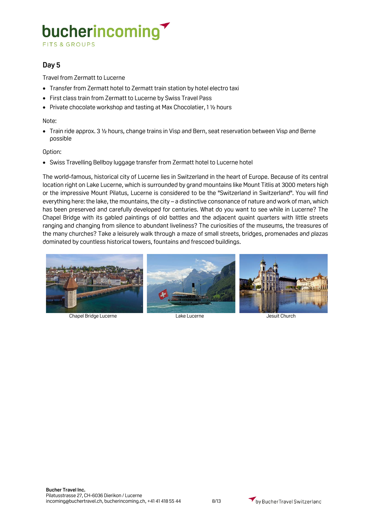**FITS & GROUPS** 

#### **Day 5**

Travel from Zermatt to Lucerne

- Transfer from Zermatt hotel to Zermatt train station by hotel electro taxi
- First class train from Zermatt to Lucerne by Swiss Travel Pass
- Private chocolate workshop and tasting at Max Chocolatier, 1 ½ hours

#### Note:

• Train ride approx. 3 ½ hours, change trains in Visp and Bern, seat reservation between Visp and Berne possible

#### Option:

• Swiss Travelling Bellboy luggage transfer from Zermatt hotel to Lucerne hotel

The world-famous, historical city of Lucerne lies in Switzerland in the heart of Europe. Because of its central location right on Lake Lucerne, which is surrounded by grand mountains like Mount Titlis at 3000 meters high or the impressive Mount Pilatus, Lucerne is considered to be the "Switzerland in Switzerland". You will find everything here: the lake, the mountains, the city – a distinctive consonance of nature and work of man, which has been preserved and carefully developed for centuries. What do you want to see while in Lucerne? The Chapel Bridge with its gabled paintings of old battles and the adjacent quaint quarters with little streets ranging and changing from silence to abundant liveliness? The curiosities of the museums, the treasures of the many churches? Take a leisurely walk through a maze of small streets, bridges, promenades and plazas dominated by countless historical towers, fountains and frescoed buildings.



Chapel Bridge Lucerne Lake Lucerne Jesuit Church

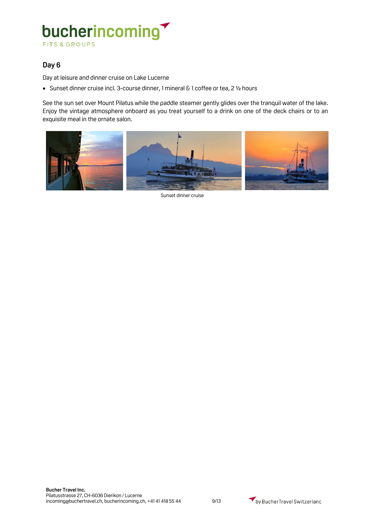#### **Day 6**

Day at leisure and dinner cruise on Lake Lucerne

• Sunset dinner cruise incl. 3-course dinner, 1 mineral & 1 coffee or tea, 2 ½ hours

See the sun set over Mount Pilatus while the paddle steamer gently glides over the tranquil water of the lake. Enjoy the vintage atmosphere onboard as you treat yourself to a drink on one of the deck chairs or to an exquisite meal in the ornate salon.



Sunset dinner cruise

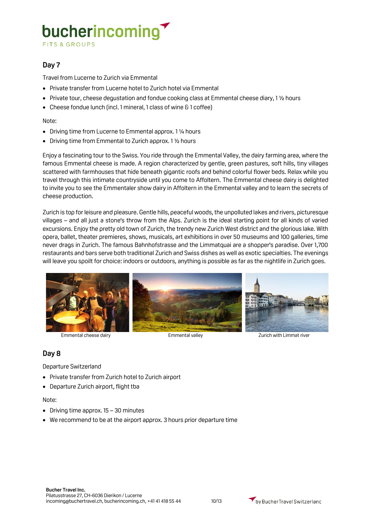**FITS & GROUPS** 

#### **Day 7**

Travel from Lucerne to Zurich via Emmental

- Private transfer from Lucerne hotel to Zurich hotel via Emmental
- Private tour, cheese degustation and fondue cooking class at Emmental cheese diary, 1 ½ hours
- Cheese fondue lunch (incl. 1 mineral, 1 class of wine & 1 coffee)

Note:

- Driving time from Lucerne to Emmental approx. 1 ¼ hours
- Driving time from Emmental to Zurich approx. 1 ½ hours

Enjoy a fascinating tour to the Swiss. You ride through the Emmental Valley, the dairy farming area, where the famous Emmental cheese is made. A region characterized by gentle, green pastures, soft hills, tiny villages scattered with farmhouses that hide beneath gigantic roofs and behind colorful flower beds. Relax while you travel through this intimate countryside until you come to Affoltern. The Emmental cheese dairy is delighted to invite you to see the Emmentaler show dairy in Affoltern in the Emmental valley and to learn the secrets of cheese production.

Zurich is top for leisure and pleasure. Gentle hills, peaceful woods, the unpolluted lakes and rivers, picturesque villages – and all just a stone's throw from the Alps. Zurich is the ideal starting point for all kinds of varied excursions. Enjoy the pretty old town of Zurich, the trendy new Zurich West district and the glorious lake. With opera, ballet, theater premieres, shows, musicals, art exhibitions in over 50 museums and 100 galleries, time never drags in Zurich. The famous Bahnhofstrasse and the Limmatquai are a shopper's paradise. Over 1,700 restaurants and bars serve both traditional Zurich and Swiss dishes as well as exotic specialties. The evenings will leave you spoilt for choice: indoors or outdoors, anything is possible as far as the nightlife in Zurich goes.



Emmental cheese dairy **Emmental valley** Emmental valley **Emmental valley** Zurich with Limmat river

#### **Day 8**

Departure Switzerland

- Private transfer from Zurich hotel to Zurich airport
- Departure Zurich airport, flight tba

#### Note:

- Driving time approx. 15 30 minutes
- We recommend to be at the airport approx. 3 hours prior departure time

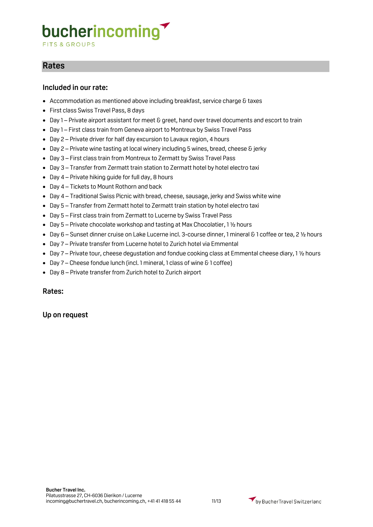**FITS & GROUPS** 

### **Rates**

#### **Included in our rate:**

- Accommodation as mentioned above including breakfast, service charge & taxes
- First class Swiss Travel Pass, 8 days
- Day 1 Private airport assistant for meet & greet, hand over travel documents and escort to train
- Day 1 First class train from Geneva airport to Montreux by Swiss Travel Pass
- Day 2 Private driver for half day excursion to Lavaux region, 4 hours
- Day 2 Private wine tasting at local winery including 5 wines, bread, cheese & jerky
- Day 3 First class train from Montreux to Zermatt by Swiss Travel Pass
- Day 3 Transfer from Zermatt train station to Zermatt hotel by hotel electro taxi
- Day 4 Private hiking quide for full day, 8 hours
- Day 4 Tickets to Mount Rothorn and back
- Day 4 Traditional Swiss Picnic with bread, cheese, sausage, jerky and Swiss white wine
- Day 5 Transfer from Zermatt hotel to Zermatt train station by hotel electro taxi
- Day 5 First class train from Zermatt to Lucerne by Swiss Travel Pass
- Day 5 Private chocolate workshop and tasting at Max Chocolatier, 1 ½ hours
- Day 6 Sunset dinner cruise on Lake Lucerne incl. 3-course dinner, 1 mineral & 1 coffee or tea, 2 ½ hours
- Day 7 Private transfer from Lucerne hotel to Zurich hotel via Emmental
- Day 7 Private tour, cheese degustation and fondue cooking class at Emmental cheese diary, 1 ½ hours
- Day 7 Cheese fondue lunch (incl. 1 mineral, 1 class of wine & 1 coffee)
- Day 8 Private transfer from Zurich hotel to Zurich airport

#### **Rates:**

#### **Up on request**

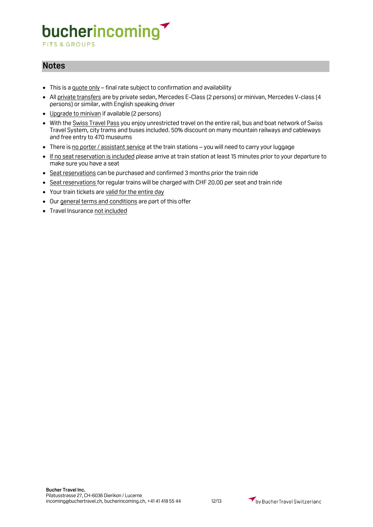**FITS & GROUPS** 

### **Notes**

- This is a quote only final rate subject to confirmation and availability
- All private transfers are by private sedan, Mercedes E-Class (2 persons) or minivan, Mercedes V-class (4 persons) or similar, with English speaking driver
- Upgrade to minivan if available (2 persons)
- With the Swiss Travel Pass you enjoy unrestricted travel on the entire rail, bus and boat network of Swiss Travel System, city trams and buses included. 50% discount on many mountain railways and cableways and free entry to 470 museums
- There is no porter / assistant service at the train stations you will need to carry your luggage
- If no seat reservation is included please arrive at train station at least 15 minutes prior to your departure to make sure you have a seat
- Seat reservations can be purchased and confirmed 3 months prior the train ride
- Seat reservations for regular trains will be charged with CHF 20.00 per seat and train ride
- Your train tickets are valid for the entire day
- Our general terms and conditions are part of this offer
- Travel Insurance not included